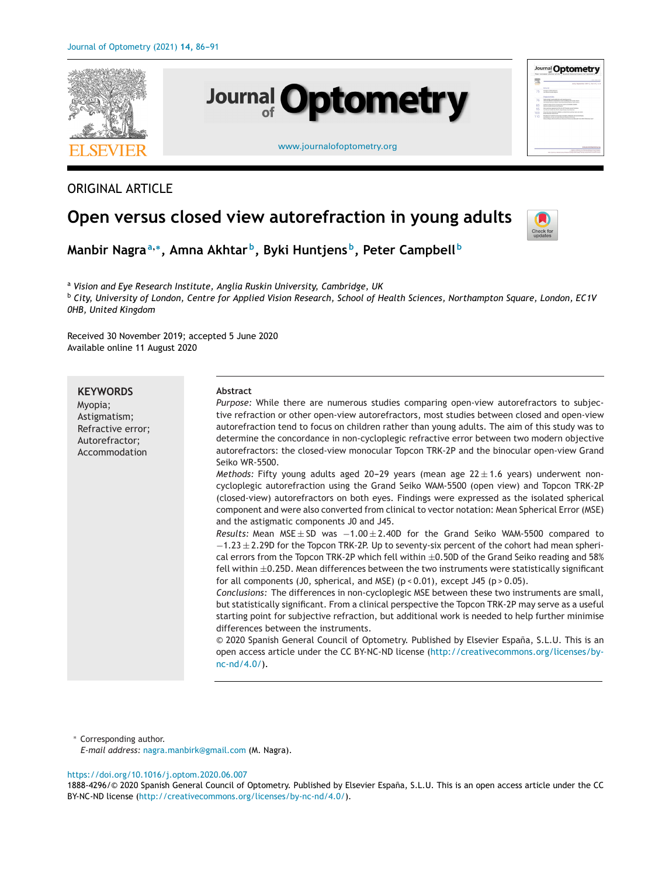

# ORIGINAL ARTICLE

# **Open versus closed view autorefraction in young adults**



**Manbir Nagra<sup>a</sup>,∗, Amna Akhtar b, Byki Huntjens b, Peter Campbell <sup>b</sup>**

<sup>a</sup> *Vision and Eye Research Institute, Anglia Ruskin University, Cambridge, UK*

<sup>b</sup> City, University of London, Centre for Applied Vision Research, School of Health Sciences, Northampton Sauare, London, EC1V *0HB, United Kingdom*

Received 30 November 2019; accepted 5 June 2020 Available online 11 August 2020

# **KEYWORDS**

Myopia; Astigmatism; Refractive error; Autorefractor; Accommodation

#### **Abstract**

*Purpose:* While there are numerous studies comparing open-view autorefractors to subjective refraction or other open-view autorefractors, most studies between closed and open-view autorefraction tend to focus on children rather than young adults. The aim of this study was to determine the concordance in non-cycloplegic refractive error between two modern objective autorefractors: the closed-view monocular Topcon TRK-2P and the binocular open-view Grand Seiko WR-5500.

*Methods:* Fifty young adults aged 20-29 years (mean age  $22 \pm 1.6$  years) underwent noncycloplegic autorefraction using the Grand Seiko WAM-5500 (open view) and Topcon TRK-2P (closed-view) autorefractors on both eyes. Findings were expressed as the isolated spherical component and were also converted from clinical to vector notation: Mean Spherical Error (MSE) and the astigmatic components J0 and J45.

*Results:* Mean MSE ± SD was −1.00 ± 2.40D for the Grand Seiko WAM-5500 compared to −1.23 ± 2.29D for the Topcon TRK-2P. Up to seventy-six percent of the cohort had mean spherical errors from the Topcon TRK-2P which fell within  $\pm 0.50D$  of the Grand Seiko reading and 58% fell within  $\pm$ 0.25D. Mean differences between the two instruments were statistically significant for all components (J0, spherical, and MSE) ( $p < 0.01$ ), except J45 ( $p > 0.05$ ).

*Conclusions:* The differences in non-cycloplegic MSE between these two instruments are small, but statistically significant. From a clinical perspective the Topcon TRK-2P may serve as a useful starting point for subjective refraction, but additional work is needed to help further minimise differences between the instruments.

© 2020 Spanish General Council of Optometry. Published by Elsevier Espana, ˜ S.L.U. This is an open access article under the CC BY-NC-ND license ([http://creativecommons.org/licenses/by](http://creativecommons.org/licenses/by-nc-nd/4.0/)[nc-nd/4.0/\)](http://creativecommons.org/licenses/by-nc-nd/4.0/).

∗ Corresponding author.

*E-mail address:* [nagra.manbirk@gmail.com](mailto:nagra.manbirk@gmail.com) (M. Nagra).

#### <https://doi.org/10.1016/j.optom.2020.06.007>

1888-4296/© 2020 Spanish General Council of Optometry. Published by Elsevier España, S.L.U. This is an open access article under the CC BY-NC-ND license [\(http://creativecommons.org/licenses/by-nc-nd/4.0/\)](http://creativecommons.org/licenses/by-nc-nd/4.0/).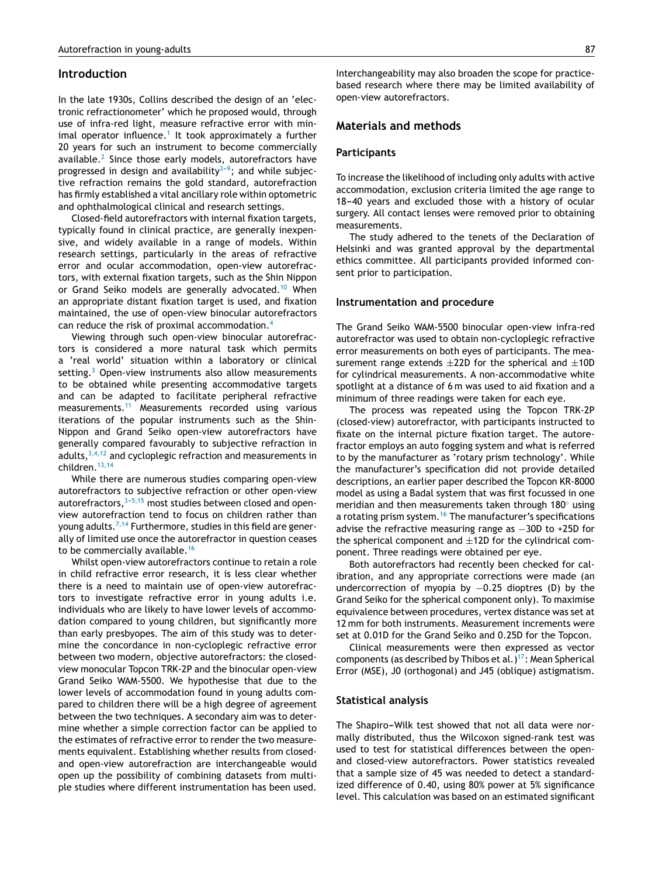### **Introduction**

In the late 1930s, Collins described the design of an 'electronic refractionometer' which he proposed would, through use of infra-red light, measure refractive error with min-imal operator influence.<sup>[1](#page-5-0)</sup> It took approximately a further 20 years for such an instrument to become commercially available.<sup>[2](#page-5-0)</sup> Since those early models, autorefractors have progressed in design and availability $3-9$ ; and while subjective refraction remains the gold standard, autorefraction has firmly established a vital ancillary role within optometric and ophthalmological clinical and research settings.

Closed-field autorefractors with internal fixation targets, typically found in clinical practice, are generally inexpensive, and widely available in a range of models. Within research settings, particularly in the areas of refractive error and ocular accommodation, open-view autorefractors, with external fixation targets, such as the Shin Nippon or Grand Seiko models are generally advocated.<sup>[10](#page-5-0)</sup> When an appropriate distant fixation target is used, and fixation maintained, the use of open-view binocular autorefractors can reduce the risk of proximal accommodation.[4](#page-5-0)

Viewing through such open-view binocular autorefractors is considered a more natural task which permits a 'real world' situation within a laboratory or clinical setting.<sup>[3](#page-5-0)</sup> Open-view instruments also allow measurements to be obtained while presenting accommodative targets and can be adapted to facilitate peripheral refractive measurements.[11](#page-5-0) Measurements recorded using various iterations of the popular instruments such as the Shin-Nippon and Grand Seiko open-view autorefractors have generally compared favourably to subjective refraction in adults,  $3,4,12$  and cycloplegic refraction and measurements in children.[13,14](#page-5-0)

While there are numerous studies comparing open-view autorefractors to subjective refraction or other open-view autorefractors,  $3-5,15$  most studies between closed and openview autorefraction tend to focus on children rather than young adults.<sup>[7,14](#page-5-0)</sup> Furthermore, studies in this field are generally of limited use once the autorefractor in question ceases to be commercially available.<sup>[16](#page-5-0)</sup>

Whilst open-view autorefractors continue to retain a role in child refractive error research, it is less clear whether there is a need to maintain use of open-view autorefractors to investigate refractive error in young adults i.e. individuals who are likely to have lower levels of accommodation compared to young children, but significantly more than early presbyopes. The aim of this study was to determine the concordance in non-cycloplegic refractive error between two modern, objective autorefractors: the closedview monocular Topcon TRK-2P and the binocular open-view Grand Seiko WAM-5500. We hypothesise that due to the lower levels of accommodation found in young adults compared to children there will be a high degree of agreement between the two techniques. A secondary aim was to determine whether a simple correction factor can be applied to the estimates of refractive error to render the two measurements equivalent. Establishing whether results from closedand open-view autorefraction are interchangeable would open up the possibility of combining datasets from multiple studies where different instrumentation has been used.

Interchangeability may also broaden the scope for practicebased research where there may be limited availability of open-view autorefractors.

# **Materials and methods**

#### **Participants**

To increase the likelihood of including only adults with active accommodation, exclusion criteria limited the age range to 18-40 years and excluded those with a history of ocular surgery. All contact lenses were removed prior to obtaining measurements.

The study adhered to the tenets of the Declaration of Helsinki and was granted approval by the departmental ethics committee. All participants provided informed consent prior to participation.

#### **Instrumentation and procedure**

The Grand Seiko WAM-5500 binocular open-view infra-red autorefractor was used to obtain non-cycloplegic refractive error measurements on both eyes of participants. The measurement range extends  $\pm 22D$  for the spherical and  $\pm 10D$ for cylindrical measurements. A non-accommodative white spotlight at a distance of 6 m was used to aid fixation and a minimum of three readings were taken for each eye.

The process was repeated using the Topcon TRK-2P (closed-view) autorefractor, with participants instructed to fixate on the internal picture fixation target. The autorefractor employs an auto fogging system and what is referred to by the manufacturer as 'rotary prism technology'. While the manufacturer's specification did not provide detailed descriptions, an earlier paper described the Topcon KR-8000 model as using a Badal system that was first focussed in one meridian and then measurements taken through 180◦ using a rotating prism system.<sup>[16](#page-5-0)</sup> The manufacturer's specifications advise the refractive measuring range as −30D to +25D for the spherical component and  $\pm$ 12D for the cylindrical component. Three readings were obtained per eye.

Both autorefractors had recently been checked for calibration, and any appropriate corrections were made (an undercorrection of myopia by −0.25 dioptres (D) by the Grand Seiko for the spherical component only). To maximise equivalence between procedures, vertex distance was set at 12 mm for both instruments. Measurement increments were set at 0.01D for the Grand Seiko and 0.25D for the Topcon.

Clinical measurements were then expressed as vector components (as described by Thibos et al.)<sup>17</sup>: Mean Spherical Error (MSE), J0 (orthogonal) and J45 (oblique) astigmatism.

#### **Statistical analysis**

The Shapiro-Wilk test showed that not all data were normally distributed, thus the Wilcoxon signed-rank test was used to test for statistical differences between the openand closed-view autorefractors. Power statistics revealed that a sample size of 45 was needed to detect a standardized difference of 0.40, using 80% power at 5% significance level. This calculation was based on an estimated significant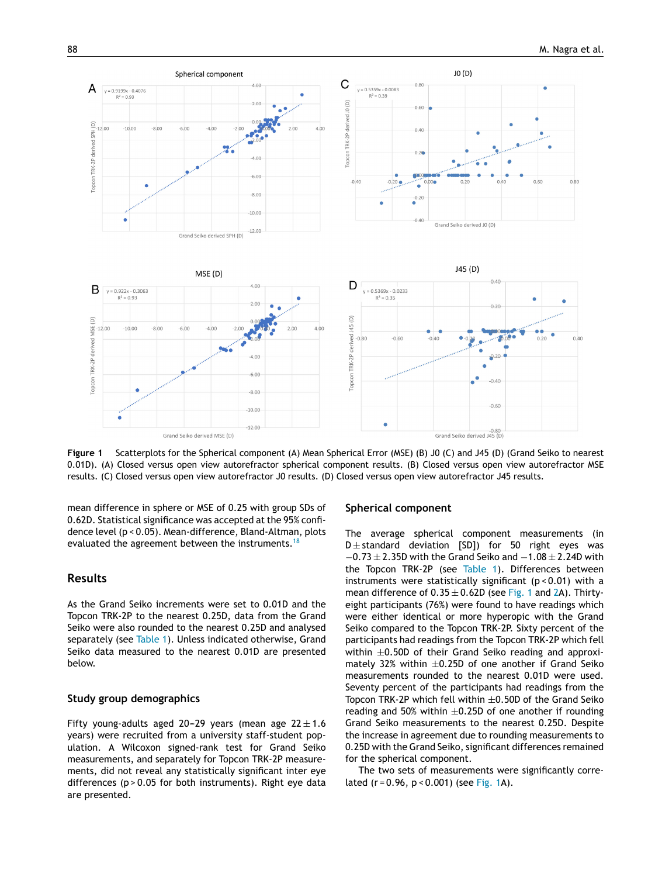<span id="page-2-0"></span>

**Figure 1** Scatterplots for the Spherical component (A) Mean Spherical Error (MSE) (B) J0 (C) and J45 (D) (Grand Seiko to nearest 0.01D). (A) Closed versus open view autorefractor spherical component results. (B) Closed versus open view autorefractor MSE results. (C) Closed versus open view autorefractor J0 results. (D) Closed versus open view autorefractor J45 results.

mean difference in sphere or MSE of 0.25 with group SDs of 0.62D. Statistical significance was accepted at the 95% confidence level (p < 0.05). Mean-difference, Bland-Altman, plots evaluated the agreement between the instruments.<sup>[18](#page-5-0)</sup>

## **Results**

As the Grand Seiko increments were set to 0.01D and the Topcon TRK-2P to the nearest 0.25D, data from the Grand Seiko were also rounded to the nearest 0.25D and analysed separately (see [Table](#page-3-0) 1). Unless indicated otherwise, Grand Seiko data measured to the nearest 0.01D are presented below.

#### **Study group demographics**

Fifty young-adults aged 20-29 years (mean age  $22 \pm 1.6$ years) were recruited from a university staff-student population. A Wilcoxon signed-rank test for Grand Seiko measurements, and separately for Topcon TRK-2P measurements, did not reveal any statistically significant inter eye differences (p > 0.05 for both instruments). Right eye data are presented.

#### **Spherical component**

The average spherical component measurements (in  $D \pm$  standard deviation [SD]) for 50 right eyes was  $-0.73 \pm 2.35$ D with the Grand Seiko and  $-1.08 \pm 2.24$ D with the Topcon TRK-2P (see [Table](#page-3-0) 1). Differences between instruments were statistically significant ( $p < 0.01$ ) with a mean difference of  $0.35 \pm 0.62D$  (see Fig. 1 and [2A](#page-3-0)). Thirtyeight participants (76%) were found to have readings which were either identical or more hyperopic with the Grand Seiko compared to the Topcon TRK-2P. Sixty percent of the participants had readings from the Topcon TRK-2P which fell within  $\pm 0.50$  of their Grand Seiko reading and approximately 32% within  $\pm 0.25D$  of one another if Grand Seiko measurements rounded to the nearest 0.01D were used. Seventy percent of the participants had readings from the Topcon TRK-2P which fell within  $\pm 0.50D$  of the Grand Seiko reading and 50% within  $\pm$ 0.25D of one another if rounding Grand Seiko measurements to the nearest 0.25D. Despite the increase in agreement due to rounding measurements to 0.25D with the Grand Seiko, significant differences remained for the spherical component.

The two sets of measurements were significantly correlated  $(r = 0.96, p < 0.001)$  (see Fig. 1A).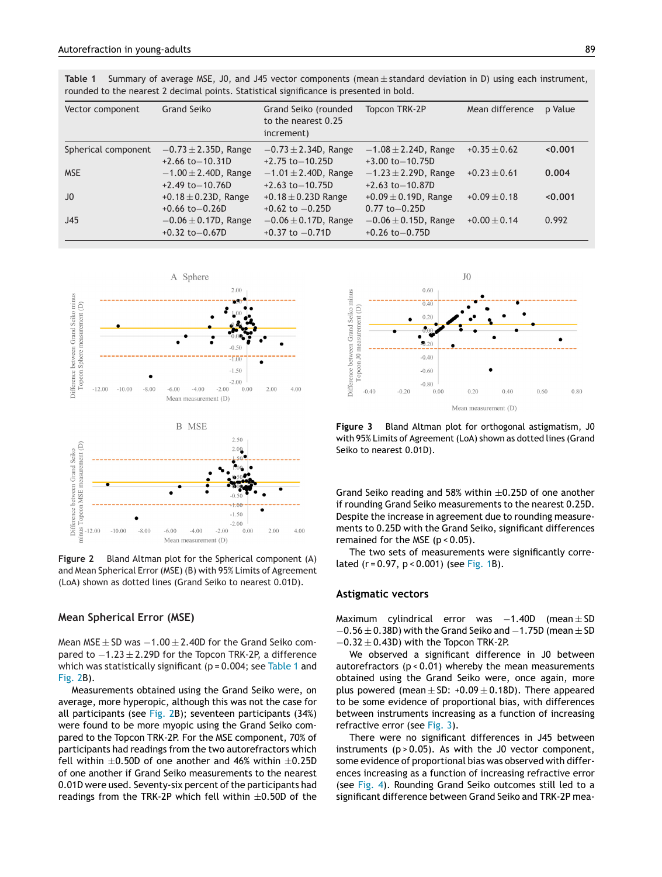| Vector component    | Grand Seiko                                        | Grand Seiko (rounded<br>to the nearest 0.25<br>increment) | Topcon TRK-2P                                     | Mean difference  | p Value |
|---------------------|----------------------------------------------------|-----------------------------------------------------------|---------------------------------------------------|------------------|---------|
| Spherical component | $-0.73 \pm 2.35D$ , Range<br>$+2.66$ to $-10.31D$  | $-0.73 \pm 2.34D$ , Range<br>$+2.75$ to $-10.25D$         | $-1.08 \pm 2.24$ D, Range<br>$+3.00$ to $-10.75D$ | $+0.35 \pm 0.62$ | 0.001   |
| <b>MSE</b>          | $-1.00 \pm 2.40D$ , Range<br>$+2.49$ to $-10.76$ D | $-1.01 \pm 2.40D$ , Range<br>$+2.63$ to $-10.75D$         | $-1.23 \pm 2.29D$ , Range<br>$+2.63$ to $-10.87D$ | $+0.23 \pm 0.61$ | 0.004   |
| J <sub>0</sub>      | +0.18 $\pm$ 0.23D, Range<br>$+0.66$ to $-0.26$ D   | +0.18 $\pm$ 0.23D Range<br>$+0.62$ to $-0.25D$            | +0.09 $\pm$ 0.19D, Range<br>$0.77$ to $-0.25D$    | $+0.09 \pm 0.18$ | 0.001   |
| J45                 | $-0.06 \pm 0.17D$ , Range<br>$+0.32$ to $-0.67$ D  | $-0.06 \pm 0.17D$ , Range<br>$+0.37$ to $-0.71D$          | $-0.06 \pm 0.15D$ , Range<br>$+0.26$ to $-0.75D$  | $+0.00 \pm 0.14$ | 0.992   |

<span id="page-3-0"></span>



**B** MSE



**Figure 2** Bland Altman plot for the Spherical component (A) and Mean Spherical Error (MSE) (B) with 95% Limits of Agreement (LoA) shown as dotted lines (Grand Seiko to nearest 0.01D).

#### **Mean Spherical Error (MSE)**

Mean MSE ± SD was −1.00 ± 2.40D for the Grand Seiko compared to  $-1.23 \pm 2.29D$  for the Topcon TRK-2P, a difference which was statistically significant ( $p = 0.004$ ; see Table 1 and Fig. 2B).

Measurements obtained using the Grand Seiko were, on average, more hyperopic, although this was not the case for all participants (see Fig. 2B); seventeen participants (34%) were found to be more myopic using the Grand Seiko compared to the Topcon TRK-2P. For the MSE component, 70% of participants had readings from the two autorefractors which fell within  $\pm 0.50$ D of one another and 46% within  $\pm 0.25$ D of one another if Grand Seiko measurements to the nearest 0.01D were used. Seventy-six percent of the participants had readings from the TRK-2P which fell within  $\pm 0.50D$  of the



**Figure 3** Bland Altman plot for orthogonal astigmatism, J0 with 95% Limits of Agreement (LoA) shown as dotted lines (Grand Seiko to nearest 0.01D).

Grand Seiko reading and 58% within  $\pm$ 0.25D of one another if rounding Grand Seiko measurements to the nearest 0.25D. Despite the increase in agreement due to rounding measurements to 0.25D with the Grand Seiko, significant differences remained for the MSE (p < 0.05).

The two sets of measurements were significantly correlated (r = 0.97, p < 0.001) (see [Fig.](#page-2-0) 1B).

#### **Astigmatic vectors**

Maximum cylindrical error was  $-1.40D$  (mean  $\pm$  SD  $-0.56 \pm 0.38$ D) with the Grand Seiko and  $-1.75$ D (mean  $\pm$  SD  $-0.32 \pm 0.43D$ ) with the Topcon TRK-2P.

We observed a significant difference in J0 between autorefractors (p < 0.01) whereby the mean measurements obtained using the Grand Seiko were, once again, more plus powered (mean  $\pm$  SD: +0.09  $\pm$  0.18D). There appeared to be some evidence of proportional bias, with differences between instruments increasing as a function of increasing refractive error (see Fig. 3).

There were no significant differences in J45 between instruments  $(p > 0.05)$ . As with the J0 vector component, some evidence of proportional bias was observed with differences increasing as a function of increasing refractive error (see [Fig.](#page-4-0) 4). Rounding Grand Seiko outcomes still led to a significant difference between Grand Seiko and TRK-2P mea-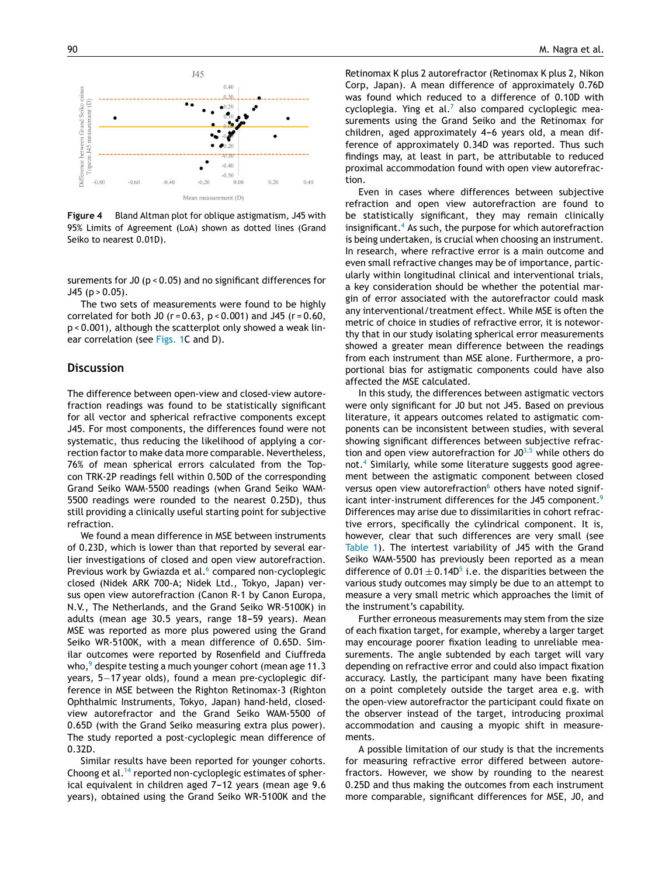<span id="page-4-0"></span>

**Figure 4** Bland Altman plot for oblique astigmatism, J45 with 95% Limits of Agreement (LoA) shown as dotted lines (Grand Seiko to nearest 0.01D).

surements for J0 (p < 0.05) and no significant differences for  $J45$  (p > 0.05).

The two sets of measurements were found to be highly correlated for both J0 ( $r = 0.63$ ,  $p < 0.001$ ) and J45 ( $r = 0.60$ , p < 0.001), although the scatterplot only showed a weak linear correlation (see [Figs.](#page-2-0) 1C and D).

# **Discussion**

The difference between open-view and closed-view autorefraction readings was found to be statistically significant for all vector and spherical refractive components except J45. For most components, the differences found were not systematic, thus reducing the likelihood of applying a correction factor to make data more comparable. Nevertheless, 76% of mean spherical errors calculated from the Topcon TRK-2P readings fell within 0.50D of the corresponding Grand Seiko WAM-5500 readings (when Grand Seiko WAM-5500 readings were rounded to the nearest 0.25D), thus still providing a clinically useful starting point for subjective refraction.

We found a mean difference in MSE between instruments of 0.23D, which is lower than that reported by several earlier investigations of closed and open view autorefraction. Previous work by Gwiazda et al.<sup>[6](#page-5-0)</sup> compared non-cycloplegic closed (Nidek ARK 700-A; Nidek Ltd., Tokyo, Japan) versus open view autorefraction (Canon R-1 by Canon Europa, N.V., The Netherlands, and the Grand Seiko WR-5100K) in adults (mean age 30.5 years, range 18-59 years). Mean MSE was reported as more plus powered using the Grand Seiko WR-5100K, with a mean difference of 0.65D. Similar outcomes were reported by Rosenfield and Ciuffreda who, $9$  [d](#page-5-0)espite testing a much younger cohort (mean age 11.3) years, 5−17 year olds), found a mean pre-cycloplegic difference in MSE between the Righton Retinomax-3 (Righton Ophthalmic Instruments, Tokyo, Japan) hand-held, closedview autorefractor and the Grand Seiko WAM-5500 of 0.65D (with the Grand Seiko measuring extra plus power). The study reported a post-cycloplegic mean difference of 0.32D.

Similar results have been reported for younger cohorts. Choong et al.[14](#page-5-0) reported non-cycloplegic estimates of spherical equivalent in children aged 7-12 years (mean age 9.6 years), obtained using the Grand Seiko WR-5100K and the

Retinomax K plus 2 autorefractor (Retinomax K plus 2, Nikon Corp, Japan). A mean difference of approximately 0.76D was found which reduced to a difference of 0.10D with cycloplegia. Ying et al.<sup>[7](#page-5-0)</sup> also compared cycloplegic measurements using the Grand Seiko and the Retinomax for children, aged approximately 4-6 years old, a mean difference of approximately 0.34D was reported. Thus such findings may, at least in part, be attributable to reduced proximal accommodation found with open view autorefraction.

Even in cases where differences between subjective refraction and open view autorefraction are found to be statistically significant, they may remain clinically insignificant.<sup>4</sup> [A](#page-5-0)s such, the purpose for which autorefraction is being undertaken, is crucial when choosing an instrument. In research, where refractive error is a main outcome and even small refractive changes may be of importance, particularly within longitudinal clinical and interventional trials, a key consideration should be whether the potential margin of error associated with the autorefractor could mask any interventional/treatment effect. While MSE is often the metric of choice in studies of refractive error, it is noteworthy that in our study isolating spherical error measurements showed a greater mean difference between the readings from each instrument than MSE alone. Furthermore, a proportional bias for astigmatic components could have also affected the MSE calculated.

In this study, the differences between astigmatic vectors were only significant for J0 but not J45. Based on previous literature, it appears outcomes related to astigmatic components can be inconsistent between studies, with several showing significant differences between subjective refraction and open view autorefraction for  $J0^{3,5}$  $J0^{3,5}$  $J0^{3,5}$  while others do not.[4](#page-5-0) Similarly, while some literature suggests good agreement between the astigmatic component between closed versus open view autorefraction<sup>[6](#page-5-0)</sup> others have noted signif-icant inter-instrument differences for the J45 component.<sup>[9](#page-5-0)</sup> Differences may arise due to dissimilarities in cohort refractive errors, specifically the cylindrical component. It is, however, clear that such differences are very small (see [Table](#page-3-0) 1). The intertest variability of J45 with the Grand Seiko WAM-5500 has previously been reported as a mean d[i](#page-5-0)fference of  $0.01 \pm 0.14D^5$  i.e. the disparities between the various study outcomes may simply be due to an attempt to measure a very small metric which approaches the limit of the instrument's capability.

Further erroneous measurements may stem from the size of each fixation target, for example, whereby a larger target may encourage poorer fixation leading to unreliable measurements. The angle subtended by each target will vary depending on refractive error and could also impact fixation accuracy. Lastly, the participant many have been fixating on a point completely outside the target area e.g. with the open-view autorefractor the participant could fixate on the observer instead of the target, introducing proximal accommodation and causing a myopic shift in measurements.

A possible limitation of our study is that the increments for measuring refractive error differed between autorefractors. However, we show by rounding to the nearest 0.25D and thus making the outcomes from each instrument more comparable, significant differences for MSE, J0, and